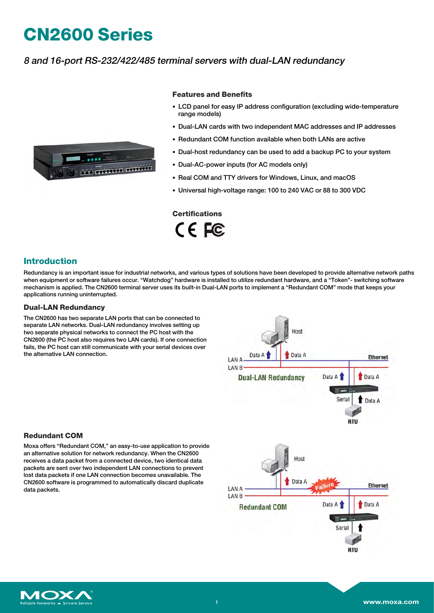# **CN2600 Series**

## 8 and 16-port RS-232/422/485 terminal servers with dual-LAN redundancy



#### **Features and Benefits**

- LCD panel for easy IP address configuration (excluding wide-temperature range models)
- Dual-LAN cards with two independent MAC addresses and IP addresses
- Redundant COM function available when both LANs are active
- Dual-host redundancy can be used to add a backup PC to your system
- Dual-AC-power inputs (for AC models only)
- Real COM and TTY drivers for Windows, Linux, and macOS
- Universal high-voltage range: 100 to 240 VAC or 88 to 300 VDC

# **Certifications**

CE FC

#### **Introduction**

Redundancy is an important issue for industrial networks, and various types of solutions have been developed to provide alternative network paths when equipment or software failures occur. "Watchdog" hardware is installed to utilize redundant hardware, and a "Token"- switching software mechanism is applied. The CN2600 terminal server uses its built-in Dual-LAN ports to implement a "Redundant COM" mode that keeps your applications running uninterrupted.

#### **Dual-LAN Redundancy**

The CN2600 has two separate LAN ports that can be connected to separate LAN networks. Dual-LAN redundancy involves setting up two separate physical networks to connect the PC host with the CN2600 (the PC host also requires two LAN cards). If one connection fails, the PC host can still communicate with your serial devices over the alternative LAN connection.



#### **Redundant COM**

Moxa offers "Redundant COM," an easy-to-use application to provide an alternative solution for network redundancy. When the CN2600 receives a data packet from a connected device, two identical data packets are sent over two independent LAN connections to prevent lost data packets if one LAN connection becomes unavailable. The CN2600 software is programmed to automatically discard duplicate data packets.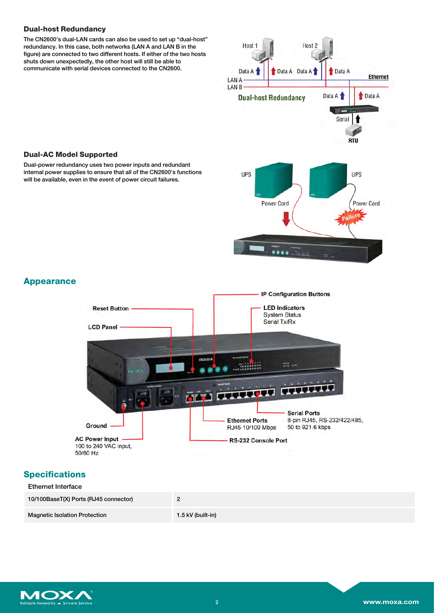#### **Dual-host Redundancy**

The CN2600's dual-LAN cards can also be used to set up "dual-host" redundancy. In this case, both networks (LAN A and LAN B in the figure) are connected to two different hosts. If either of the two hosts shuts down unexpectedly, the other host will still be able to communicate with serial devices connected to the CN2600.



## **Dual-AC Model Supported**

Dual-power redundancy uses two power inputs and redundant internal power supplies to ensure that all of the CN2600's functions will be available, even in the event of power circuit failures.

### **Appearance**



#### **Specifications**

| <b>Ethernet Interface</b>             |                   |
|---------------------------------------|-------------------|
| 10/100BaseT(X) Ports (RJ45 connector) |                   |
| <b>Magnetic Isolation Protection</b>  | 1.5 kV (built-in) |

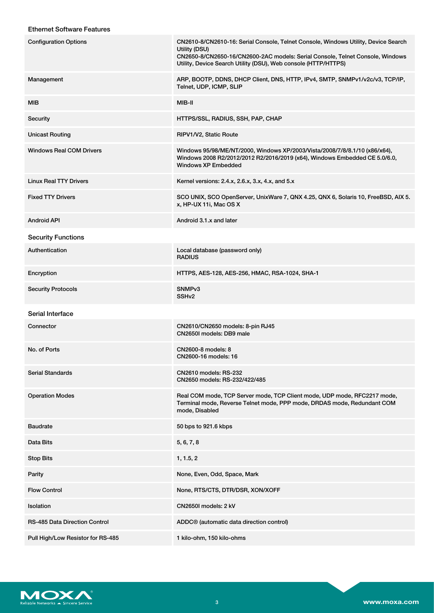#### Ethernet Software Features

| <b>Configuration Options</b>         | CN2610-8/CN2610-16: Serial Console, Telnet Console, Windows Utility, Device Search<br>Utility (DSU)<br>CN2650-8/CN2650-16/CN2600-2AC models: Serial Console, Telnet Console, Windows<br>Utility, Device Search Utility (DSU), Web console (HTTP/HTTPS) |
|--------------------------------------|--------------------------------------------------------------------------------------------------------------------------------------------------------------------------------------------------------------------------------------------------------|
| Management                           | ARP, BOOTP, DDNS, DHCP Client, DNS, HTTP, IPv4, SMTP, SNMPv1/v2c/v3, TCP/IP,<br>Telnet, UDP, ICMP, SLIP                                                                                                                                                |
| MIB                                  | MIB-II                                                                                                                                                                                                                                                 |
| Security                             | HTTPS/SSL, RADIUS, SSH, PAP, CHAP                                                                                                                                                                                                                      |
| <b>Unicast Routing</b>               | RIPV1/V2, Static Route                                                                                                                                                                                                                                 |
| <b>Windows Real COM Drivers</b>      | Windows 95/98/ME/NT/2000, Windows XP/2003/Vista/2008/7/8/8.1/10 (x86/x64),<br>Windows 2008 R2/2012/2012 R2/2016/2019 (x64), Windows Embedded CE 5.0/6.0,<br><b>Windows XP Embedded</b>                                                                 |
| <b>Linux Real TTY Drivers</b>        | Kernel versions: 2.4.x, 2.6.x, 3.x, 4.x, and 5.x                                                                                                                                                                                                       |
| <b>Fixed TTY Drivers</b>             | SCO UNIX, SCO OpenServer, UnixWare 7, QNX 4.25, QNX 6, Solaris 10, FreeBSD, AIX 5.<br>x, HP-UX 11i, Mac OS X                                                                                                                                           |
| <b>Android API</b>                   | Android 3.1.x and later                                                                                                                                                                                                                                |
| <b>Security Functions</b>            |                                                                                                                                                                                                                                                        |
| Authentication                       | Local database (password only)<br><b>RADIUS</b>                                                                                                                                                                                                        |
| Encryption                           | HTTPS, AES-128, AES-256, HMAC, RSA-1024, SHA-1                                                                                                                                                                                                         |
| <b>Security Protocols</b>            | SNMP <sub>v3</sub><br>SSH <sub>v2</sub>                                                                                                                                                                                                                |
| Serial Interface                     |                                                                                                                                                                                                                                                        |
| Connector                            | CN2610/CN2650 models: 8-pin RJ45<br>CN2650I models: DB9 male                                                                                                                                                                                           |
| No. of Ports                         | CN2600-8 models: 8<br>CN2600-16 models: 16                                                                                                                                                                                                             |
| <b>Serial Standards</b>              | <b>CN2610 models: RS-232</b><br>CN2650 models: RS-232/422/485                                                                                                                                                                                          |
| <b>Operation Modes</b>               | Real COM mode, TCP Server mode, TCP Client mode, UDP mode, RFC2217 mode,<br>Terminal mode, Reverse Telnet mode, PPP mode, DRDAS mode, Redundant COM<br>mode, Disabled                                                                                  |
| <b>Baudrate</b>                      | 50 bps to 921.6 kbps                                                                                                                                                                                                                                   |
| Data Bits                            | 5, 6, 7, 8                                                                                                                                                                                                                                             |
| <b>Stop Bits</b>                     | 1, 1.5, 2                                                                                                                                                                                                                                              |
| Parity                               | None, Even, Odd, Space, Mark                                                                                                                                                                                                                           |
| <b>Flow Control</b>                  | None, RTS/CTS, DTR/DSR, XON/XOFF                                                                                                                                                                                                                       |
| Isolation                            | CN2650I models: 2 kV                                                                                                                                                                                                                                   |
| <b>RS-485 Data Direction Control</b> | ADDC <sup>®</sup> (automatic data direction control)                                                                                                                                                                                                   |
| Pull High/Low Resistor for RS-485    | 1 kilo-ohm, 150 kilo-ohms                                                                                                                                                                                                                              |

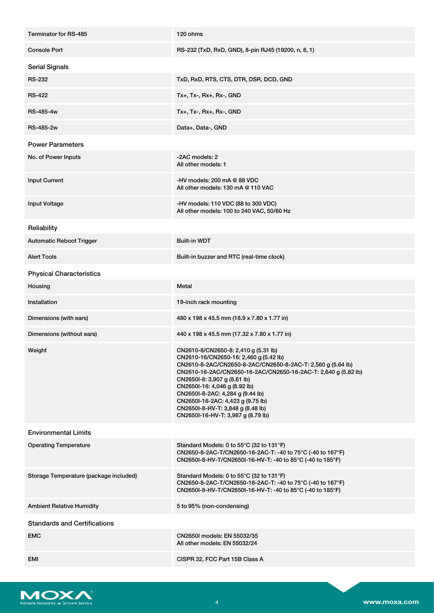| Terminator for RS-485                  | 120 ohms                                                                                                                                                                                                                                                                                                                                                                                                                             |
|----------------------------------------|--------------------------------------------------------------------------------------------------------------------------------------------------------------------------------------------------------------------------------------------------------------------------------------------------------------------------------------------------------------------------------------------------------------------------------------|
| <b>Console Port</b>                    | RS-232 (TxD, RxD, GND), 8-pin RJ45 (19200, n, 8, 1)                                                                                                                                                                                                                                                                                                                                                                                  |
| <b>Serial Signals</b>                  |                                                                                                                                                                                                                                                                                                                                                                                                                                      |
| <b>RS-232</b>                          | TxD, RxD, RTS, CTS, DTR, DSR, DCD, GND                                                                                                                                                                                                                                                                                                                                                                                               |
| <b>RS-422</b>                          | $Tx+$ , $Tx-$ , $Rx+$ , $Rx-$ , $GND$                                                                                                                                                                                                                                                                                                                                                                                                |
| RS-485-4w                              | Tx+, Tx-, Rx+, Rx-, GND                                                                                                                                                                                                                                                                                                                                                                                                              |
| RS-485-2w                              | Data+, Data-, GND                                                                                                                                                                                                                                                                                                                                                                                                                    |
| <b>Power Parameters</b>                |                                                                                                                                                                                                                                                                                                                                                                                                                                      |
| No. of Power Inputs                    | -2AC models: 2<br>All other models: 1                                                                                                                                                                                                                                                                                                                                                                                                |
| <b>Input Current</b>                   | -HV models: $200$ mA $@$ 88 VDC<br>All other models: 130 mA @ 110 VAC                                                                                                                                                                                                                                                                                                                                                                |
| <b>Input Voltage</b>                   | -HV models: 110 VDC (88 to 300 VDC)<br>All other models: 100 to 240 VAC, 50/60 Hz                                                                                                                                                                                                                                                                                                                                                    |
| Reliability                            |                                                                                                                                                                                                                                                                                                                                                                                                                                      |
| <b>Automatic Reboot Trigger</b>        | <b>Built-in WDT</b>                                                                                                                                                                                                                                                                                                                                                                                                                  |
| <b>Alert Tools</b>                     | Built-in buzzer and RTC (real-time clock)                                                                                                                                                                                                                                                                                                                                                                                            |
| <b>Physical Characteristics</b>        |                                                                                                                                                                                                                                                                                                                                                                                                                                      |
| Housing                                | Metal                                                                                                                                                                                                                                                                                                                                                                                                                                |
| Installation                           | 19-inch rack mounting                                                                                                                                                                                                                                                                                                                                                                                                                |
| Dimensions (with ears)                 | 480 x 198 x 45.5 mm (18.9 x 7.80 x 1.77 in)                                                                                                                                                                                                                                                                                                                                                                                          |
| Dimensions (without ears)              | 440 x 198 x 45.5 mm (17.32 x 7.80 x 1.77 in)                                                                                                                                                                                                                                                                                                                                                                                         |
| Weight                                 | CN2610-8/CN2650-8: 2,410 g (5.31 lb)<br>CN2610-16/CN2650-16: 2,460 g (5.42 lb)<br>CN2610-8-2AC/CN2650-8-2AC/CN2650-8-2AC-T: 2,560 g (5.64 lb)<br>CN2610-16-2AC/CN2650-16-2AC/CN2650-16-2AC-T: 2,640 g (5.82 lb)<br>CN2650I-8: 3,907 g (8.61 lb)<br>CN2650I-16: 4,046 g (8.92 lb)<br>CN2650I-8-2AC: 4,284 g (9.44 lb)<br>CN2650I-16-2AC: 4,423 g (9.75 lb)<br>CN2650I-8-HV-T: 3,848 g (8.48 lb)<br>CN2650I-16-HV-T: 3,987 g (8.79 lb) |
| <b>Environmental Limits</b>            |                                                                                                                                                                                                                                                                                                                                                                                                                                      |
| <b>Operating Temperature</b>           | Standard Models: 0 to 55°C (32 to 131°F)<br>CN2650-8-2AC-T/CN2650-16-2AC-T: -40 to 75°C (-40 to 167°F)<br>CN2650I-8-HV-T/CN2650I-16-HV-T: -40 to 85°C (-40 to 185°F)                                                                                                                                                                                                                                                                 |
| Storage Temperature (package included) | Standard Models: 0 to 55°C (32 to 131°F)<br>CN2650-8-2AC-T/CN2650-16-2AC-T: -40 to 75°C (-40 to 167°F)<br>CN2650I-8-HV-T/CN2650I-16-HV-T: -40 to 85°C (-40 to 185°F)                                                                                                                                                                                                                                                                 |
| <b>Ambient Relative Humidity</b>       | 5 to 95% (non-condensing)                                                                                                                                                                                                                                                                                                                                                                                                            |
| <b>Standards and Certifications</b>    |                                                                                                                                                                                                                                                                                                                                                                                                                                      |
| <b>EMC</b>                             | CN2650I models: EN 55032/35<br>All other models: EN 55032/24                                                                                                                                                                                                                                                                                                                                                                         |
| EMI                                    | CISPR 32, FCC Part 15B Class A                                                                                                                                                                                                                                                                                                                                                                                                       |

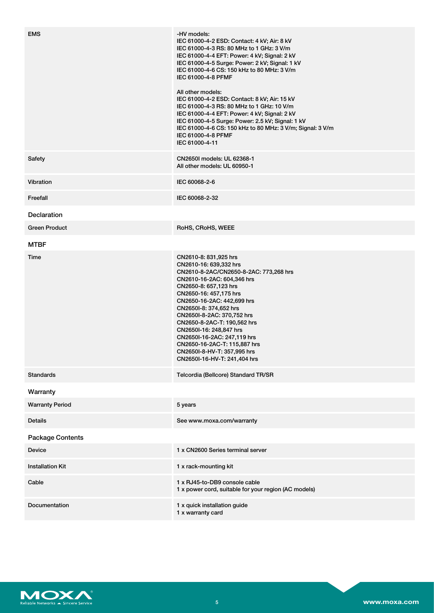| <b>EMS</b>              | -HV models:<br>IEC 61000-4-2 ESD: Contact: 4 kV; Air: 8 kV<br>IEC 61000-4-3 RS: 80 MHz to 1 GHz: 3 V/m<br>IEC 61000-4-4 EFT: Power: 4 kV; Signal: 2 kV<br>IEC 61000-4-5 Surge: Power: 2 kV; Signal: 1 kV<br>IEC 61000-4-6 CS: 150 kHz to 80 MHz: 3 V/m<br>IEC 61000-4-8 PFMF<br>All other models:<br>IEC 61000-4-2 ESD: Contact: 8 kV; Air: 15 kV<br>IEC 61000-4-3 RS: 80 MHz to 1 GHz: 10 V/m<br>IEC 61000-4-4 EFT: Power: 4 kV; Signal: 2 kV<br>IEC 61000-4-5 Surge: Power: 2.5 kV; Signal: 1 kV<br>IEC 61000-4-6 CS: 150 kHz to 80 MHz: 3 V/m; Signal: 3 V/m<br>IEC 61000-4-8 PFMF<br>IEC 61000-4-11 |
|-------------------------|---------------------------------------------------------------------------------------------------------------------------------------------------------------------------------------------------------------------------------------------------------------------------------------------------------------------------------------------------------------------------------------------------------------------------------------------------------------------------------------------------------------------------------------------------------------------------------------------------------|
| Safety                  | CN2650I models: UL 62368-1<br>All other models: UL 60950-1                                                                                                                                                                                                                                                                                                                                                                                                                                                                                                                                              |
| Vibration               | IEC 60068-2-6                                                                                                                                                                                                                                                                                                                                                                                                                                                                                                                                                                                           |
| Freefall                | IEC 60068-2-32                                                                                                                                                                                                                                                                                                                                                                                                                                                                                                                                                                                          |
| Declaration             |                                                                                                                                                                                                                                                                                                                                                                                                                                                                                                                                                                                                         |
| <b>Green Product</b>    | RoHS, CRoHS, WEEE                                                                                                                                                                                                                                                                                                                                                                                                                                                                                                                                                                                       |
| <b>MTBF</b>             |                                                                                                                                                                                                                                                                                                                                                                                                                                                                                                                                                                                                         |
| Time                    | CN2610-8: 831,925 hrs<br>CN2610-16: 639,332 hrs<br>CN2610-8-2AC/CN2650-8-2AC: 773,268 hrs<br>CN2610-16-2AC: 604,346 hrs<br>CN2650-8: 657,123 hrs<br>CN2650-16: 457,175 hrs<br>CN2650-16-2AC: 442,699 hrs<br>CN2650I-8: 374,652 hrs<br>CN2650I-8-2AC: 370,752 hrs<br>CN2650-8-2AC-T: 190,562 hrs<br>CN2650I-16: 248,847 hrs<br>CN2650I-16-2AC: 247,119 hrs<br>CN2650-16-2AC-T: 115,887 hrs<br>CN2650I-8-HV-T: 357,995 hrs<br>CN2650I-16-HV-T: 241,404 hrs                                                                                                                                                |
| <b>Standards</b>        | Telcordia (Bellcore) Standard TR/SR                                                                                                                                                                                                                                                                                                                                                                                                                                                                                                                                                                     |
| Warranty                |                                                                                                                                                                                                                                                                                                                                                                                                                                                                                                                                                                                                         |
| <b>Warranty Period</b>  | 5 years                                                                                                                                                                                                                                                                                                                                                                                                                                                                                                                                                                                                 |
| <b>Details</b>          | See www.moxa.com/warranty                                                                                                                                                                                                                                                                                                                                                                                                                                                                                                                                                                               |
| <b>Package Contents</b> |                                                                                                                                                                                                                                                                                                                                                                                                                                                                                                                                                                                                         |
| Device                  | 1 x CN2600 Series terminal server                                                                                                                                                                                                                                                                                                                                                                                                                                                                                                                                                                       |
| <b>Installation Kit</b> | 1 x rack-mounting kit                                                                                                                                                                                                                                                                                                                                                                                                                                                                                                                                                                                   |
| Cable                   | 1 x RJ45-to-DB9 console cable<br>1 x power cord, suitable for your region (AC models)                                                                                                                                                                                                                                                                                                                                                                                                                                                                                                                   |
| Documentation           | 1 x quick installation guide<br>1 x warranty card                                                                                                                                                                                                                                                                                                                                                                                                                                                                                                                                                       |

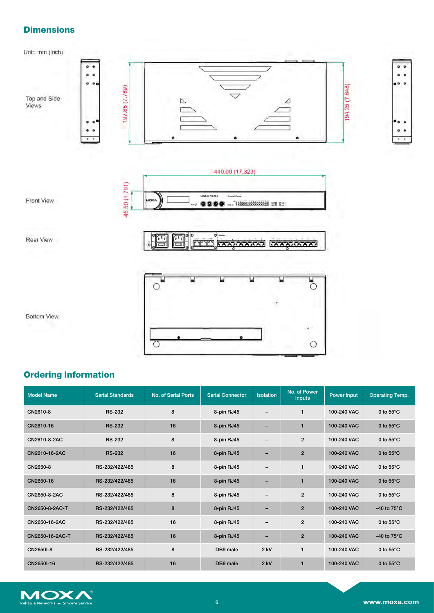# **Dimensions**



# **Ordering Information**

| <b>Model Name</b> | <b>Serial Standards</b> | No. of Serial Ports | <b>Serial Connector</b> | <b>Isolation</b>         | No. of Power<br><b>Inputs</b> | Power Input | <b>Operating Temp.</b> |
|-------------------|-------------------------|---------------------|-------------------------|--------------------------|-------------------------------|-------------|------------------------|
| CN2610-8          | <b>RS-232</b>           | 8                   | 8-pin RJ45              | -                        | 1                             | 100-240 VAC | 0 to $55^{\circ}$ C    |
| CN2610-16         | <b>RS-232</b>           | 16                  | 8-pin RJ45              | -                        | 1                             | 100-240 VAC | 0 to $55^{\circ}$ C    |
| CN2610-8-2AC      | <b>RS-232</b>           | 8                   | 8-pin RJ45              | -                        | $\overline{2}$                | 100-240 VAC | 0 to $55^{\circ}$ C    |
| CN2610-16-2AC     | <b>RS-232</b>           | 16                  | 8-pin RJ45              | -                        | $\overline{2}$                | 100-240 VAC | 0 to $55^{\circ}$ C    |
| CN2650-8          | RS-232/422/485          | 8                   | 8-pin RJ45              | -                        | 1                             | 100-240 VAC | 0 to $55^{\circ}$ C    |
| CN2650-16         | RS-232/422/485          | 16                  | 8-pin RJ45              | -                        | $\mathbf{1}$                  | 100-240 VAC | 0 to $55^{\circ}$ C    |
| CN2650-8-2AC      | RS-232/422/485          | 8                   | 8-pin RJ45              | -                        | $\overline{c}$                | 100-240 VAC | 0 to $55^{\circ}$ C    |
| CN2650-8-2AC-T    | RS-232/422/485          | 8                   | 8-pin RJ45              | -                        | $\overline{2}$                | 100-240 VAC | -40 to $75^{\circ}$ C  |
| CN2650-16-2AC     | RS-232/422/485          | 16                  | 8-pin RJ45              | $\qquad \qquad$          | $\overline{2}$                | 100-240 VAC | 0 to $55^{\circ}$ C    |
| CN2650-16-2AC-T   | RS-232/422/485          | 16                  | 8-pin RJ45              | $\overline{\phantom{0}}$ | $\overline{2}$                | 100-240 VAC | -40 to $75^{\circ}$ C  |
| CN2650I-8         | RS-232/422/485          | 8                   | DB9 male                | $2$ kV                   | 1                             | 100-240 VAC | 0 to $55^{\circ}$ C    |
| CN2650I-16        | RS-232/422/485          | 16                  | DB9 male                | $2$ kV                   | 1                             | 100-240 VAC | 0 to $55^{\circ}$ C    |